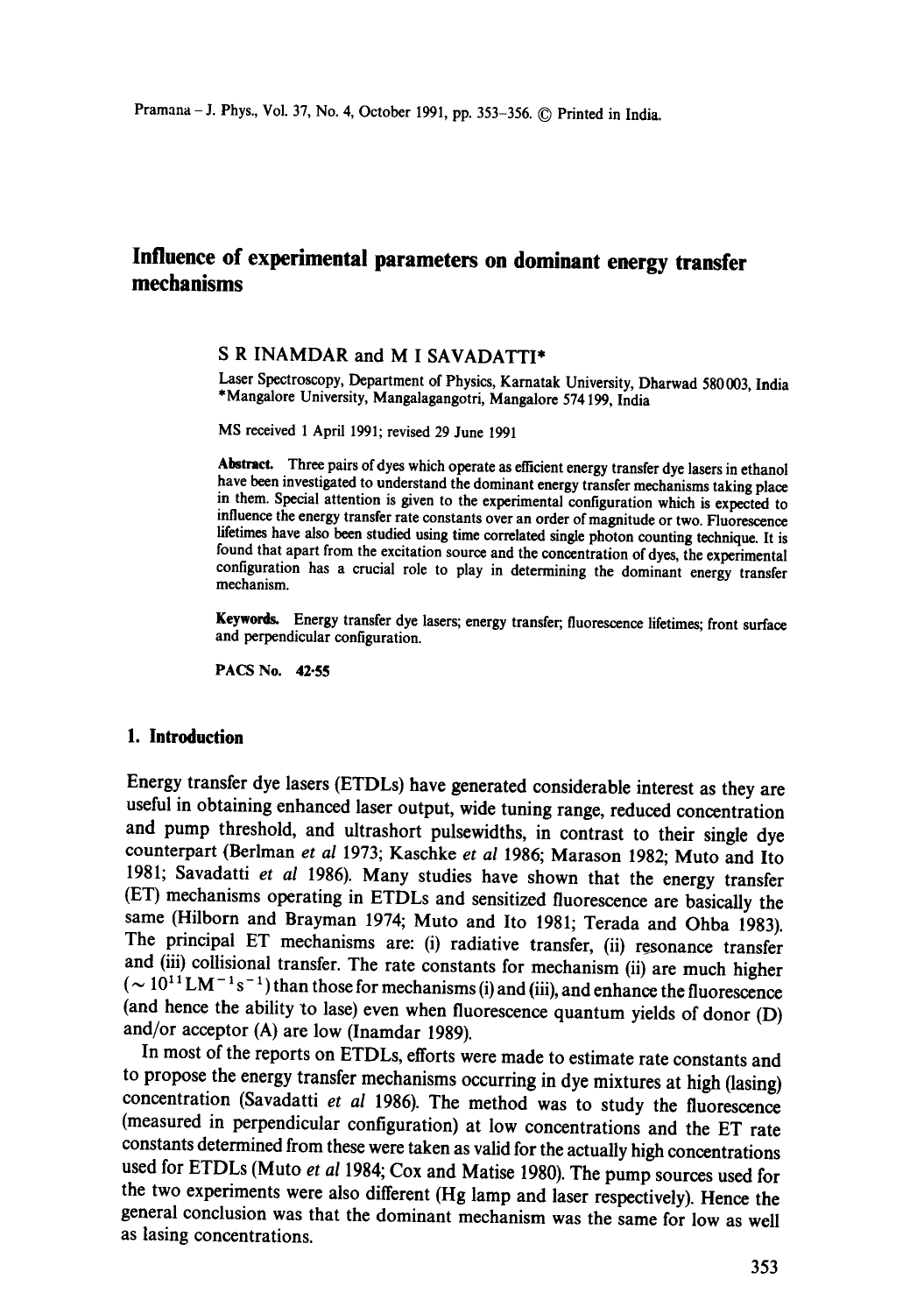# **Influence of experimental parameters on dominant energy transfer mechanisms**

### **S R** INAMDAR and **M I SAVADATTI\***

Laser Spectroscopy, Department of Physics, Karnatak University, Dharwad 580003, India \*Mangalore University, Mangalagangotri, Mangalore 574199, India

MS received 1 April 1991; revised 29 June 1991

Abstract. Three pairs of dyes which operate as efficient energy transfer dye lasers in ethanol have been investigated to understand the dominant energy transfer mechanisms taking place in them. Special attention is given to the experimental configuration which is expected to influence the energy transfer rate constants over an order of magnitude or two. Fluorescence lifetimes have also been studied using time correlated single photon counting technique. It is found that apart from the excitation source and the concentration of dyes, the experimental configuration has a crucial role to play in determining the dominant energy transfer mechanism.

Keywords. Energy transfer dye lasers; energy transfer; fluorescence lifetimes; front surface and perpendicular configuration.

PACS No. 42-55

### **1. Introduction**

Energy transfer dye lasers (ETDLs) have generated considerable interest as they are useful in obtaining enhanced laser output, wide tuning range, reduced concentration and pump threshold, and ultrashort pulsewidths, in contrast to their single dye counterpart (Berlman *et al* 1973; Kaschke *et al* 1986; Marason 1982; Muto and Ito 1981; Savadatti *et al* 1986). Many studies have shown that the energy transfer (ET) mechanisms operating in ETDLs and sensitized fluorescence are basically the same (Hilborn and Brayman 1974; Muto and Ito 1981; Terada and Ohba 1983). The principal ET mechanisms are: (i) radiative transfer, (ii) resonance transfer and (iii) collisional transfer. The rate constants for mechanism (ii) are much higher  $({\sim 10^{11} \text{LM}^{-1} \text{ s}^{-1}})$  than those for mechanisms (i) and (iii), and enhance the fluorescence (and hence the ability to lase) even when fluorescence quantum yields of donor (D) and/or acceptor (A) are low (Inamdar 1989).

In most of the reports on ETDLs, efforts were made to estimate rate constants and to propose the energy transfer mechanisms occurring in dye mixtures at high (lasing) concentration (Savadatti *et al* 1986). The method was to study the fluorescence (measured in perpendicular configuration) at low concentrations and the ET rate constants determined from these were taken as valid for the actually high concentrations used for ETDLs (Muto *et al* 1984; Cox and Matise 1980). The pump sources used for the two experiments were also different (Hg lamp and laser respectively). Hence the general conclusion was that the dominant mechanism was the same for low as well as lasing concentrations.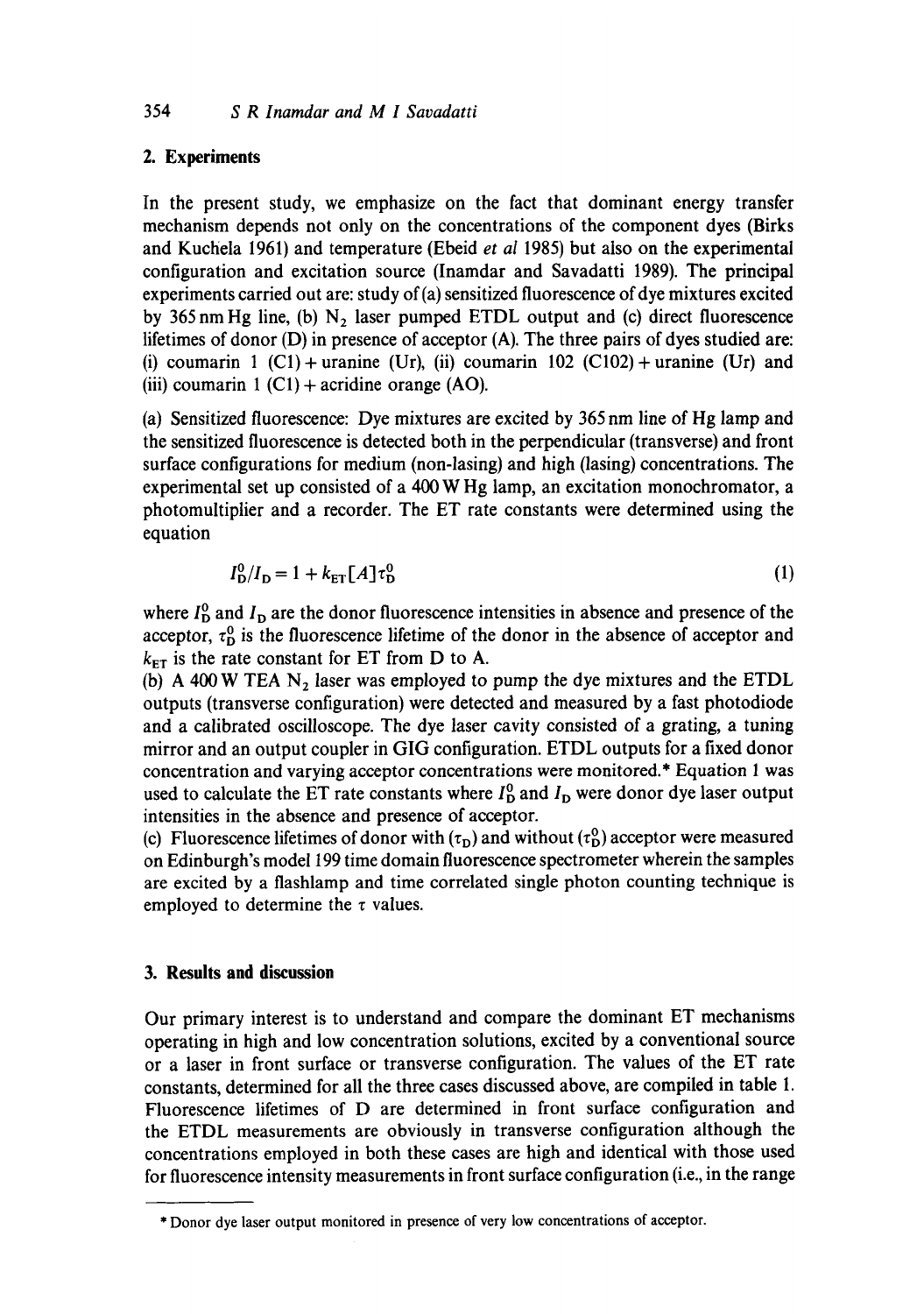### **2. Experiments**

In the present study, we emphasize on the fact that dominant energy transfer mechanism depends not only on the concentrations of the component dyes (Birks and Kuchela 1961) and temperature (Ebeid *et al* 1985) but also on the experimental configuration and excitation source (Inamdar and Savadatti 1989). The principal experiments carried out are: study of (a) sensitized fluorescence of dye mixtures excited by 365 nm Hg line, (b)  $N_2$  laser pumped ETDL output and (c) direct fluorescence lifetimes of donor (D) in presence of acceptor (A). The three pairs of dyes studied are: (i) coumarin 1 (C1) + uranine (Ur), (ii) coumarin 102 (C102) + uranine (Ur) and (iii) coumarin  $1 (C1) +$  acridine orange (AO).

(a) Sensitized fluorescence: Dye mixtures are excited by 365 nm line of Hg lamp and the sensitized fluorescence is detected both in the perpendicular (transverse) and front surface configurations for medium (non-lasing) and high (lasing) concentrations. The experimental set up consisted of a 400 W Hg lamp, an excitation monochromator, a photomultiplier and a recorder. The ET rate constants were determined using the equation

$$
I_{\mathbf{D}}^{0}/I_{\mathbf{D}} = 1 + k_{\text{ET}}[A] \tau_{\mathbf{D}}^{0}
$$
 (1)

where  $I_D^0$  and  $I_D$  are the donor fluorescence intensities in absence and presence of the acceptor,  $\tau_{\rm D}^0$  is the fluorescence lifetime of the donor in the absence of acceptor and  $k_{ET}$  is the rate constant for ET from D to A.

(b) A 400 W TEA  $N_2$  laser was employed to pump the dye mixtures and the ETDL outputs (transverse configuration) were detected and measured by a fast photodiode and a calibrated oscilloscope. The dye laser cavity consisted of a grating, a tuning mirror and an output coupler in GIG configuration. ETDL outputs for a fixed donor concentration and varying acceptor concentrations were monitored.\* Equation 1 was used to calculate the ET rate constants where  $I_D^0$  and  $I_D$  were donor dye laser output intensities in the absence and presence of acceptor.

(c) Fluorescence lifetimes of donor with  $(\tau_{\rm D})$  and without  $(\tau_{\rm D}^0)$  acceptor were measured on Edinburgh's model 199 time domain fluorescence spectrometer wherein the samples are excited by a flashlamp and time correlated single photon counting technique is employed to determine the  $\tau$  values.

## **3. Results and discussion**

Our primary interest is to understand and compare the dominant ET mechanisms operating in high and low concentration solutions, excited by a conventional source or a laser in front surface or transverse configuration. The values of the ET rate constants, determined for all the three cases discussed above, are compiled in table 1. Fluorescence lifetimes of D are determined in front surface configuration and the ETDL measurements are obviously in transverse configuration although the concentrations employed in both these cases are high and identical with those used for fluorescence intensity measurements in front surface configuration (i.e., in the range

<sup>\*</sup> Donor dye laser output monitored in presence of very low concentrations of acceptor.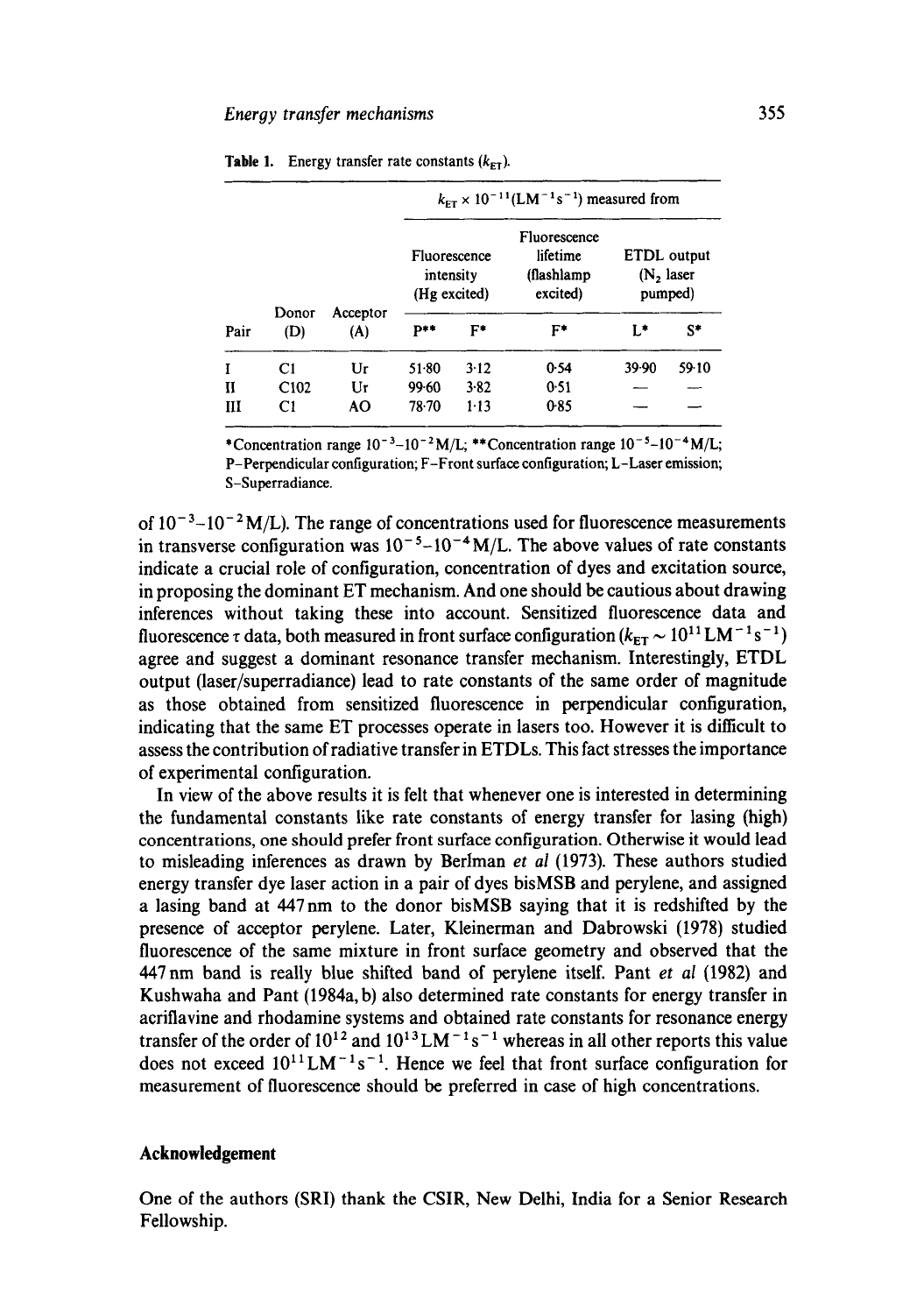| Pair | Donor<br>(D)     | Acceptor<br>(A) | $k_{\text{FT}} \times 10^{-11} (\text{LM}^{-1} \text{s}^{-1})$ measured from |        |                                                     |                                        |       |  |  |
|------|------------------|-----------------|------------------------------------------------------------------------------|--------|-----------------------------------------------------|----------------------------------------|-------|--|--|
|      |                  |                 | Fluorescence<br>intensity<br>(Hg excited)                                    |        | Fluorescence<br>lifetime<br>(flashlamp)<br>excited) | ETDL output<br>$(N2)$ laser<br>pumped) |       |  |  |
|      |                  |                 | $P**$                                                                        | $F^*$  | F*                                                  | L*                                     | $S^*$ |  |  |
| I    | C1               | Ur              | $51-80$                                                                      | 3.12   | 0.54                                                | 39.90                                  | 59.10 |  |  |
| и    | C <sub>102</sub> | Ur              | $99 - 60$                                                                    | 3.82   | 0.51                                                |                                        |       |  |  |
| Ш    | C1               | AO.             | 78.70                                                                        | $1-13$ | 0.85                                                |                                        |       |  |  |

| <b>Table 1.</b> Energy transfer rate constants $(k_{ET})$ . |  |  |  |
|-------------------------------------------------------------|--|--|--|

\*Concentration range  $10^{-3}$ - $10^{-2}$ M/L; \*\*Concentration range  $10^{-5}$ - $10^{-4}$ M/L; P-Perpendicular configuration; F-Front surface configuration; L-Laser emission; S-Superradiance.

of  $10^{-3}$ - $10^{-2}$  M/L). The range of concentrations used for fluorescence measurements in transverse configuration was  $10^{-5}$ - $10^{-4}$  M/L. The above values of rate constants indicate a crucial role of configuration, concentration of dyes and excitation source, in proposing the dominant ET mechanism. And one should be cautious about drawing inferences without taking these into account. Sensitized fluorescence data and fluorescence  $\tau$  data, both measured in front surface configuration ( $k_{ET} \sim 10^{11}$  LM<sup>-1</sup> s<sup>-1</sup>) agree and suggest a dominant resonance transfer mechanism. Interestingly, ETDL output (laser/superradiance) lead to rate constants of the same order of magnitude as those obtained from sensitized fluorescence in perpendicular configuration, indicating that the same ET processes operate in lasers too. However it is difficult to assess the contribution of radiative transfer in ETDLs. This fact stresses the importance of experimental configuration.

In view of the above results it is felt that whenever one is interested in determining the fundamental constants like rate constants of energy transfer for lasing (high) concentrations, one should prefer front surface configuration. Otherwise it would lead to misleading inferences as drawn by Berlman *et al* (1973). These authors studied energy transfer dye laser action in a pair of dyes bisMSB and perylene, and assigned a lasing band at 447nm to the donor bisMSB saying that it is redshifted by the presence of acceptor perylene. Later, Kleinerman and Dabrowski (1978) studied fluorescence of the same mixture in front surface geometry and observed that the 447 nm band is really blue shifted band of perylene itself. Pant *et al* (1982) and Kushwaha and Pant (1984a, b) also determined rate constants for energy transfer in acriflavine and rhodamine systems and obtained rate constants for resonance energy transfer of the order of  $10^{12}$  and  $10^{13}$  LM<sup>-1</sup>s<sup>-1</sup> whereas in all other reports this value does not exceed  $10^{11}$ LM<sup>-1</sup>s<sup>-1</sup>. Hence we feel that front surface configuration for measurement of fluorescence should be preferred in case of high concentrations.

#### **Acknowledgement**

One of the authors (SRI) thank the CSIR, New Delhi, India for a Senior Research Fellowship.